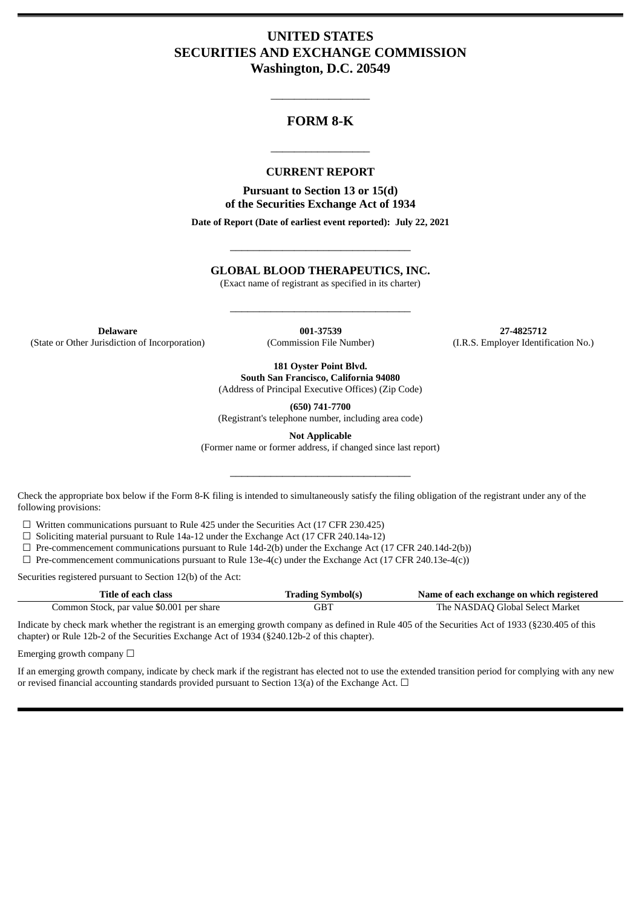# **UNITED STATES SECURITIES AND EXCHANGE COMMISSION Washington, D.C. 20549**

# **FORM 8-K**

\_\_\_\_\_\_\_\_\_\_\_\_\_\_\_\_\_

#### **CURRENT REPORT**

\_\_\_\_\_\_\_\_\_\_\_\_\_\_\_\_\_

**Pursuant to Section 13 or 15(d) of the Securities Exchange Act of 1934**

**Date of Report (Date of earliest event reported): July 22, 2021**

### **GLOBAL BLOOD THERAPEUTICS, INC.**

\_\_\_\_\_\_\_\_\_\_\_\_\_\_\_\_\_\_\_\_\_\_\_\_\_\_\_\_\_\_\_

(Exact name of registrant as specified in its charter)

\_\_\_\_\_\_\_\_\_\_\_\_\_\_\_\_\_\_\_\_\_\_\_\_\_\_\_\_\_\_\_

**Delaware 001-37539 27-4825712** (State or Other Jurisdiction of Incorporation) (Commission File Number) (I.R.S. Employer Identification No.)

**181 Oyster Point Blvd.**

**South San Francisco, California 94080** (Address of Principal Executive Offices) (Zip Code)

**(650) 741-7700**

(Registrant's telephone number, including area code)

**Not Applicable**

(Former name or former address, if changed since last report)

\_\_\_\_\_\_\_\_\_\_\_\_\_\_\_\_\_\_\_\_\_\_\_\_\_\_\_\_\_\_\_

Check the appropriate box below if the Form 8-K filing is intended to simultaneously satisfy the filing obligation of the registrant under any of the following provisions:

☐ Written communications pursuant to Rule 425 under the Securities Act (17 CFR 230.425)

 $\Box$  Soliciting material pursuant to Rule 14a-12 under the Exchange Act (17 CFR 240.14a-12)

 $\Box$  Pre-commencement communications pursuant to Rule 14d-2(b) under the Exchange Act (17 CFR 240.14d-2(b))

 $\Box$  Pre-commencement communications pursuant to Rule 13e-4(c) under the Exchange Act (17 CFR 240.13e-4(c))

Securities registered pursuant to Section 12(b) of the Act:

| Title of each class                       | <b>Trading Symbol(s)</b> | Name of each exchange on which registered |
|-------------------------------------------|--------------------------|-------------------------------------------|
| Common Stock, par value \$0.001 per share | GBT                      | The NASDAQ Global Select Market           |

Indicate by check mark whether the registrant is an emerging growth company as defined in Rule 405 of the Securities Act of 1933 (§230.405 of this chapter) or Rule 12b-2 of the Securities Exchange Act of 1934 (§240.12b-2 of this chapter).

Emerging growth company  $\Box$ 

If an emerging growth company, indicate by check mark if the registrant has elected not to use the extended transition period for complying with any new or revised financial accounting standards provided pursuant to Section 13(a) of the Exchange Act.  $\Box$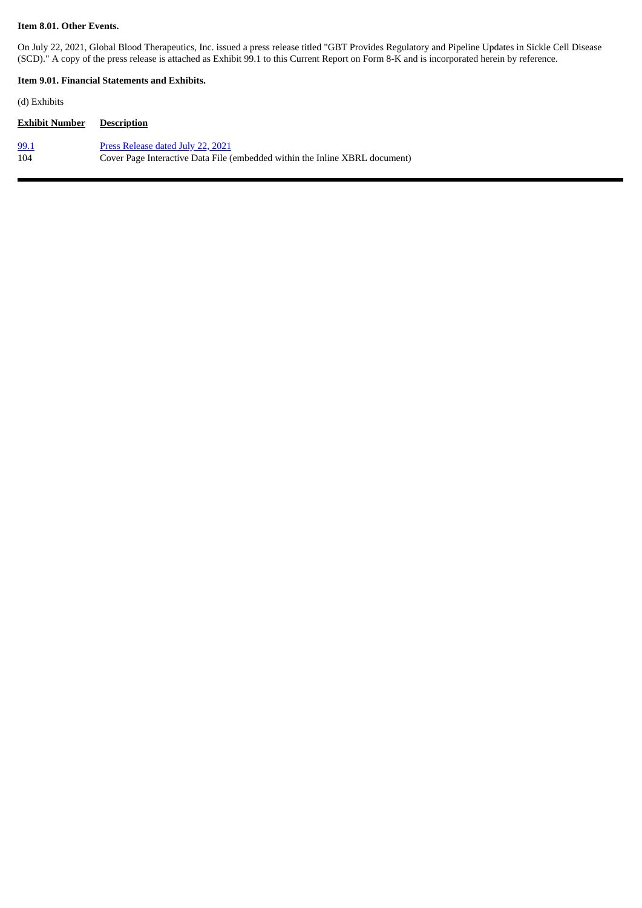#### **Item 8.01. Other Events.**

On July 22, 2021, Global Blood Therapeutics, Inc. issued a press release titled "GBT Provides Regulatory and Pipeline Updates in Sickle Cell Disease (SCD)." A copy of the press release is attached as Exhibit 99.1 to this Current Report on Form 8-K and is incorporated herein by reference.

### **Item 9.01. Financial Statements and Exhibits.**

(d) Exhibits

| Exhibit Number | <u>Description</u>                                                          |
|----------------|-----------------------------------------------------------------------------|
| <u>99.1</u>    | Press Release dated July 22, 2021                                           |
| 104            | Cover Page Interactive Data File (embedded within the Inline XBRL document) |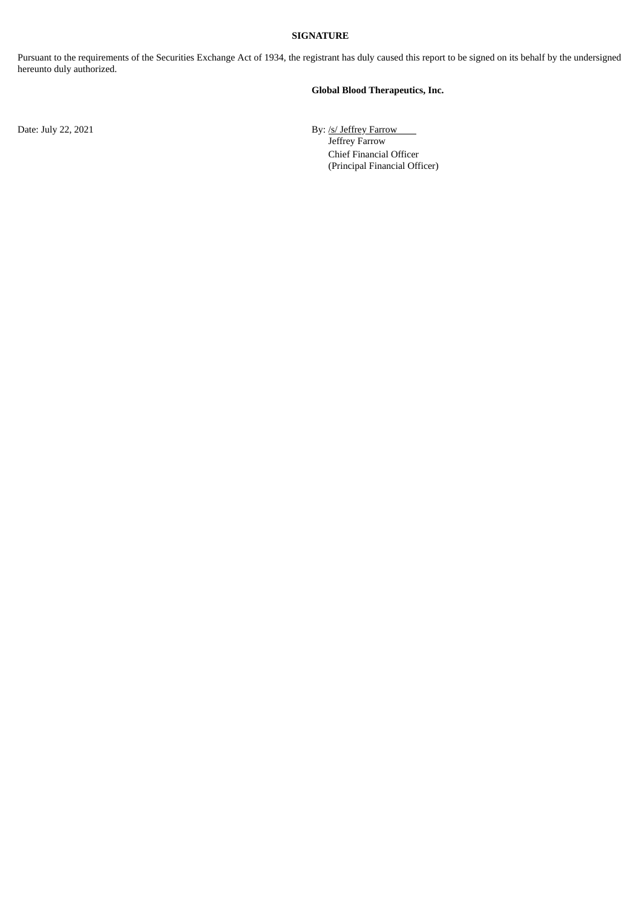#### **SIGNATURE**

Pursuant to the requirements of the Securities Exchange Act of 1934, the registrant has duly caused this report to be signed on its behalf by the undersigned hereunto duly authorized.

#### **Global Blood Therapeutics, Inc.**

(Principal Financial Officer)

Date: July 22, 2021 By: /s/ Jeffrey Farrow Jeffrey Farrow Chief Financial Officer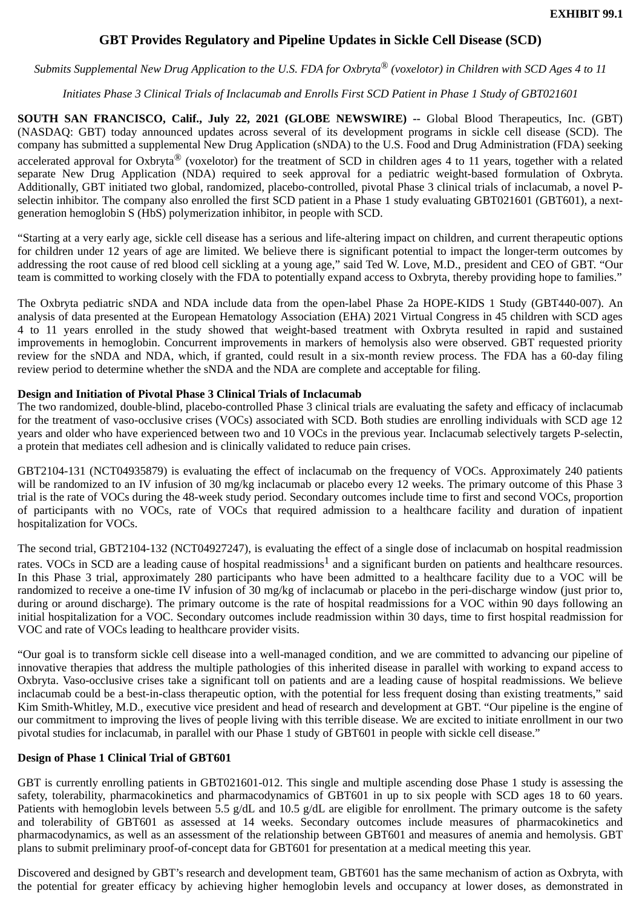# **GBT Provides Regulatory and Pipeline Updates in Sickle Cell Disease (SCD)**

<span id="page-3-0"></span>*Submits Supplemental New Drug Application to the U.S. FDA for Oxbryta® (voxelotor) in Children with SCD Ages 4 to 11*

### *Initiates Phase 3 Clinical Trials of Inclacumab and Enrolls First SCD Patient in Phase 1 Study of GBT021601*

**SOUTH SAN FRANCISCO, Calif., July 22, 2021 (GLOBE NEWSWIRE) --** Global Blood Therapeutics, Inc. (GBT) (NASDAQ: GBT) today announced updates across several of its development programs in sickle cell disease (SCD). The company has submitted a supplemental New Drug Application (sNDA) to the U.S. Food and Drug Administration (FDA) seeking accelerated approval for Oxbryta® (voxelotor) for the treatment of SCD in children ages 4 to 11 years, together with a related separate New Drug Application (NDA) required to seek approval for a pediatric weight-based formulation of Oxbryta. Additionally, GBT initiated two global, randomized, placebo-controlled, pivotal Phase 3 clinical trials of inclacumab, a novel Pselectin inhibitor. The company also enrolled the first SCD patient in a Phase 1 study evaluating GBT021601 (GBT601), a nextgeneration hemoglobin S (HbS) polymerization inhibitor, in people with SCD.

"Starting at a very early age, sickle cell disease has a serious and life-altering impact on children, and current therapeutic options for children under 12 years of age are limited. We believe there is significant potential to impact the longer-term outcomes by addressing the root cause of red blood cell sickling at a young age," said Ted W. Love, M.D., president and CEO of GBT. "Our team is committed to working closely with the FDA to potentially expand access to Oxbryta, thereby providing hope to families."

The Oxbryta pediatric sNDA and NDA include data from the open-label Phase 2a HOPE-KIDS 1 Study (GBT440-007). An analysis of data presented at the European Hematology Association (EHA) 2021 Virtual Congress in 45 children with SCD ages 4 to 11 years enrolled in the study showed that weight-based treatment with Oxbryta resulted in rapid and sustained improvements in hemoglobin. Concurrent improvements in markers of hemolysis also were observed. GBT requested priority review for the sNDA and NDA, which, if granted, could result in a six-month review process. The FDA has a 60-day filing review period to determine whether the sNDA and the NDA are complete and acceptable for filing.

### **Design and Initiation of Pivotal Phase 3 Clinical Trials of Inclacumab**

The two randomized, double-blind, placebo-controlled Phase 3 clinical trials are evaluating the safety and efficacy of inclacumab for the treatment of vaso-occlusive crises (VOCs) associated with SCD. Both studies are enrolling individuals with SCD age 12 years and older who have experienced between two and 10 VOCs in the previous year. Inclacumab selectively targets P-selectin, a protein that mediates cell adhesion and is clinically validated to reduce pain crises.

GBT2104-131 (NCT04935879) is evaluating the effect of inclacumab on the frequency of VOCs. Approximately 240 patients will be randomized to an IV infusion of 30 mg/kg inclacumab or placebo every 12 weeks. The primary outcome of this Phase 3 trial is the rate of VOCs during the 48-week study period. Secondary outcomes include time to first and second VOCs, proportion of participants with no VOCs, rate of VOCs that required admission to a healthcare facility and duration of inpatient hospitalization for VOCs.

The second trial, GBT2104-132 (NCT04927247), is evaluating the effect of a single dose of inclacumab on hospital readmission

rates. VOCs in SCD are a leading cause of hospital readmissions<sup>1</sup> and a significant burden on patients and healthcare resources. In this Phase 3 trial, approximately 280 participants who have been admitted to a healthcare facility due to a VOC will be randomized to receive a one-time IV infusion of 30 mg/kg of inclacumab or placebo in the peri-discharge window (just prior to, during or around discharge). The primary outcome is the rate of hospital readmissions for a VOC within 90 days following an initial hospitalization for a VOC. Secondary outcomes include readmission within 30 days, time to first hospital readmission for VOC and rate of VOCs leading to healthcare provider visits.

"Our goal is to transform sickle cell disease into a well-managed condition, and we are committed to advancing our pipeline of innovative therapies that address the multiple pathologies of this inherited disease in parallel with working to expand access to Oxbryta. Vaso-occlusive crises take a significant toll on patients and are a leading cause of hospital readmissions. We believe inclacumab could be a best-in-class therapeutic option, with the potential for less frequent dosing than existing treatments," said Kim Smith-Whitley, M.D., executive vice president and head of research and development at GBT. "Our pipeline is the engine of our commitment to improving the lives of people living with this terrible disease. We are excited to initiate enrollment in our two pivotal studies for inclacumab, in parallel with our Phase 1 study of GBT601 in people with sickle cell disease."

## **Design of Phase 1 Clinical Trial of GBT601**

GBT is currently enrolling patients in GBT021601-012. This single and multiple ascending dose Phase 1 study is assessing the safety, tolerability, pharmacokinetics and pharmacodynamics of GBT601 in up to six people with SCD ages 18 to 60 years. Patients with hemoglobin levels between 5.5 g/dL and 10.5 g/dL are eligible for enrollment. The primary outcome is the safety and tolerability of GBT601 as assessed at 14 weeks. Secondary outcomes include measures of pharmacokinetics and pharmacodynamics, as well as an assessment of the relationship between GBT601 and measures of anemia and hemolysis. GBT plans to submit preliminary proof-of-concept data for GBT601 for presentation at a medical meeting this year.

Discovered and designed by GBT's research and development team, GBT601 has the same mechanism of action as Oxbryta, with the potential for greater efficacy by achieving higher hemoglobin levels and occupancy at lower doses, as demonstrated in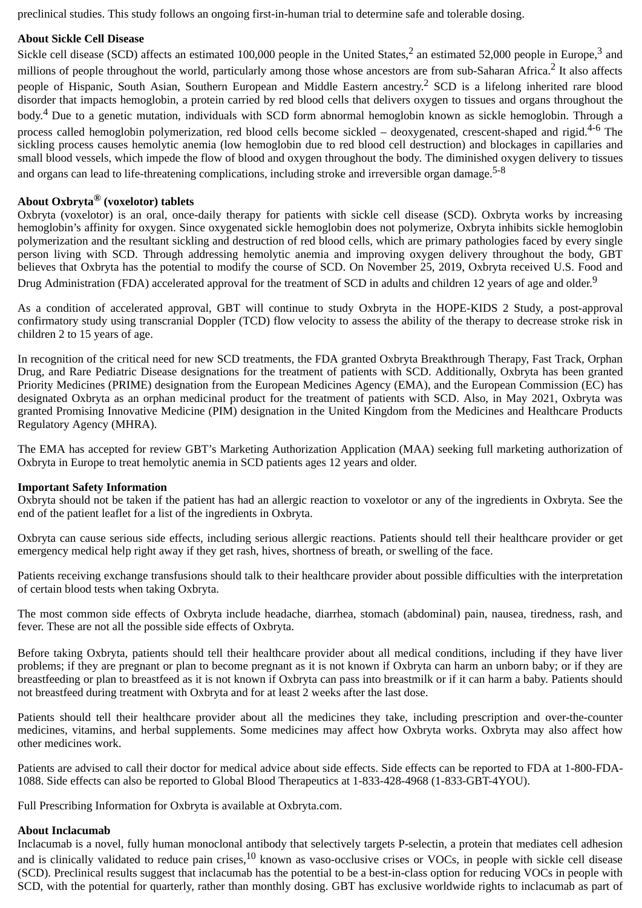preclinical studies. This study follows an ongoing first-in-human trial to determine safe and tolerable dosing.

## **About Sickle Cell Disease**

Sickle cell disease (SCD) affects an estimated 100,000 people in the United States.<sup>2</sup> an estimated 52,000 people in Europe.<sup>3</sup> and millions of people throughout the world, particularly among those whose ancestors are from sub-Saharan Africa.<sup>2</sup> It also affects people of Hispanic, South Asian, Southern European and Middle Eastern ancestry.<sup>2</sup> SCD is a lifelong inherited rare blood disorder that impacts hemoglobin, a protein carried by red blood cells that delivers oxygen to tissues and organs throughout the body. <sup>4</sup> Due to a genetic mutation, individuals with SCD form abnormal hemoglobin known as sickle hemoglobin. Through a process called hemoglobin polymerization, red blood cells become sickled – deoxygenated, crescent-shaped and rigid.<sup>4-6</sup> The sickling process causes hemolytic anemia (low hemoglobin due to red blood cell destruction) and blockages in capillaries and small blood vessels, which impede the flow of blood and oxygen throughout the body. The diminished oxygen delivery to tissues and organs can lead to life-threatening complications, including stroke and irreversible organ damage.<sup>5-8</sup>

# **About Oxbryta***®* **(voxelotor) tablets**

Oxbryta (voxelotor) is an oral, once-daily therapy for patients with sickle cell disease (SCD). Oxbryta works by increasing hemoglobin's affinity for oxygen. Since oxygenated sickle hemoglobin does not polymerize, Oxbryta inhibits sickle hemoglobin polymerization and the resultant sickling and destruction of red blood cells, which are primary pathologies faced by every single person living with SCD. Through addressing hemolytic anemia and improving oxygen delivery throughout the body, GBT believes that Oxbryta has the potential to modify the course of SCD. On November 25, 2019, Oxbryta received U.S. Food and Drug Administration (FDA) accelerated approval for the treatment of SCD in adults and children 12 years of age and older.<sup>9</sup>

As a condition of accelerated approval, GBT will continue to study Oxbryta in the HOPE-KIDS 2 Study, a post-approval confirmatory study using transcranial Doppler (TCD) flow velocity to assess the ability of the therapy to decrease stroke risk in children 2 to 15 years of age.

In recognition of the critical need for new SCD treatments, the FDA granted Oxbryta Breakthrough Therapy, Fast Track, Orphan Drug, and Rare Pediatric Disease designations for the treatment of patients with SCD. Additionally, Oxbryta has been granted Priority Medicines (PRIME) designation from the European Medicines Agency (EMA), and the European Commission (EC) has designated Oxbryta as an orphan medicinal product for the treatment of patients with SCD. Also, in May 2021, Oxbryta was granted Promising Innovative Medicine (PIM) designation in the United Kingdom from the Medicines and Healthcare Products Regulatory Agency (MHRA).

The EMA has accepted for review GBT's Marketing Authorization Application (MAA) seeking full marketing authorization of Oxbryta in Europe to treat hemolytic anemia in SCD patients ages 12 years and older.

## **Important Safety Information**

Oxbryta should not be taken if the patient has had an allergic reaction to voxelotor or any of the ingredients in Oxbryta. See the end of the patient leaflet for a list of the ingredients in Oxbryta.

Oxbryta can cause serious side effects, including serious allergic reactions. Patients should tell their healthcare provider or get emergency medical help right away if they get rash, hives, shortness of breath, or swelling of the face.

Patients receiving exchange transfusions should talk to their healthcare provider about possible difficulties with the interpretation of certain blood tests when taking Oxbryta.

The most common side effects of Oxbryta include headache, diarrhea, stomach (abdominal) pain, nausea, tiredness, rash, and fever. These are not all the possible side effects of Oxbryta.

Before taking Oxbryta, patients should tell their healthcare provider about all medical conditions, including if they have liver problems; if they are pregnant or plan to become pregnant as it is not known if Oxbryta can harm an unborn baby; or if they are breastfeeding or plan to breastfeed as it is not known if Oxbryta can pass into breastmilk or if it can harm a baby. Patients should not breastfeed during treatment with Oxbryta and for at least 2 weeks after the last dose.

Patients should tell their healthcare provider about all the medicines they take, including prescription and over-the-counter medicines, vitamins, and herbal supplements. Some medicines may affect how Oxbryta works. Oxbryta may also affect how other medicines work.

Patients are advised to call their doctor for medical advice about side effects. Side effects can be reported to FDA at 1-800-FDA-1088. Side effects can also be reported to Global Blood Therapeutics at 1-833-428-4968 (1-833-GBT-4YOU).

Full Prescribing Information for Oxbryta is available at Oxbryta.com.

## **About Inclacumab**

Inclacumab is a novel, fully human monoclonal antibody that selectively targets P-selectin, a protein that mediates cell adhesion and is clinically validated to reduce pain crises, $^{10}$  known as vaso-occlusive crises or VOCs, in people with sickle cell disease (SCD). Preclinical results suggest that inclacumab has the potential to be a best-in-class option for reducing VOCs in people with SCD, with the potential for quarterly, rather than monthly dosing. GBT has exclusive worldwide rights to inclacumab as part of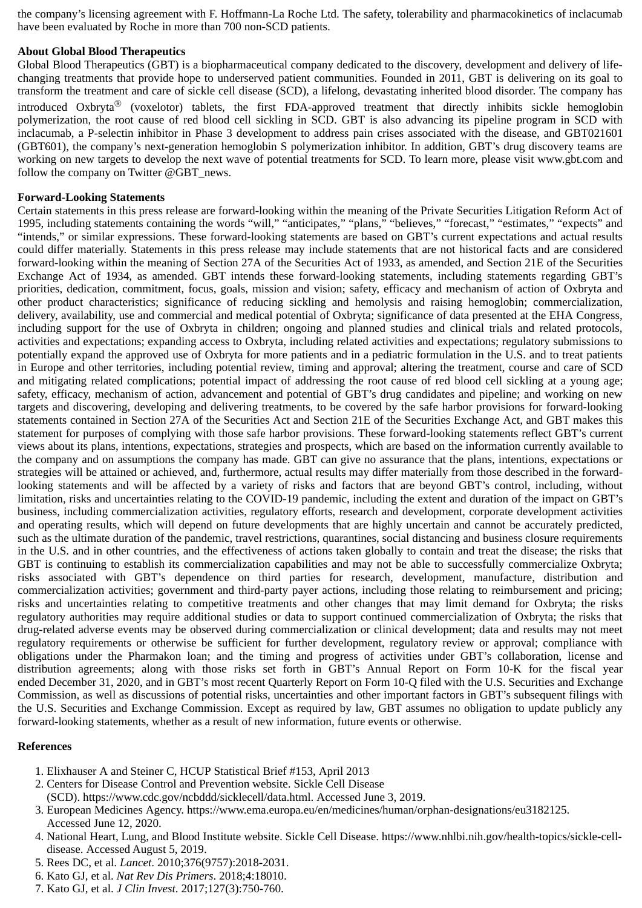the company's licensing agreement with F. Hoffmann-La Roche Ltd. The safety, tolerability and pharmacokinetics of inclacumab have been evaluated by Roche in more than 700 non-SCD patients.

### **About Global Blood Therapeutics**

Global Blood Therapeutics (GBT) is a biopharmaceutical company dedicated to the discovery, development and delivery of lifechanging treatments that provide hope to underserved patient communities. Founded in 2011, GBT is delivering on its goal to transform the treatment and care of sickle cell disease (SCD), a lifelong, devastating inherited blood disorder. The company has introduced Oxbryta® (voxelotor) tablets, the first FDA-approved treatment that directly inhibits sickle hemoglobin polymerization, the root cause of red blood cell sickling in SCD. GBT is also advancing its pipeline program in SCD with inclacumab, a P-selectin inhibitor in Phase 3 development to address pain crises associated with the disease, and GBT021601 (GBT601), the company's next-generation hemoglobin S polymerization inhibitor. In addition, GBT's drug discovery teams are working on new targets to develop the next wave of potential treatments for SCD. To learn more, please visit www.gbt.com and follow the company on Twitter  $\omega$ GBT news.

#### **Forward-Looking Statements**

Certain statements in this press release are forward-looking within the meaning of the Private Securities Litigation Reform Act of 1995, including statements containing the words "will," "anticipates," "plans," "believes," "forecast," "estimates," "expects" and "intends," or similar expressions. These forward-looking statements are based on GBT's current expectations and actual results could differ materially. Statements in this press release may include statements that are not historical facts and are considered forward-looking within the meaning of Section 27A of the Securities Act of 1933, as amended, and Section 21E of the Securities Exchange Act of 1934, as amended. GBT intends these forward-looking statements, including statements regarding GBT's priorities, dedication, commitment, focus, goals, mission and vision; safety, efficacy and mechanism of action of Oxbryta and other product characteristics; significance of reducing sickling and hemolysis and raising hemoglobin; commercialization, delivery, availability, use and commercial and medical potential of Oxbryta; significance of data presented at the EHA Congress, including support for the use of Oxbryta in children; ongoing and planned studies and clinical trials and related protocols, activities and expectations; expanding access to Oxbryta, including related activities and expectations; regulatory submissions to potentially expand the approved use of Oxbryta for more patients and in a pediatric formulation in the U.S. and to treat patients in Europe and other territories, including potential review, timing and approval; altering the treatment, course and care of SCD and mitigating related complications; potential impact of addressing the root cause of red blood cell sickling at a young age; safety, efficacy, mechanism of action, advancement and potential of GBT's drug candidates and pipeline; and working on new targets and discovering, developing and delivering treatments, to be covered by the safe harbor provisions for forward-looking statements contained in Section 27A of the Securities Act and Section 21E of the Securities Exchange Act, and GBT makes this statement for purposes of complying with those safe harbor provisions. These forward-looking statements reflect GBT's current views about its plans, intentions, expectations, strategies and prospects, which are based on the information currently available to the company and on assumptions the company has made. GBT can give no assurance that the plans, intentions, expectations or strategies will be attained or achieved, and, furthermore, actual results may differ materially from those described in the forwardlooking statements and will be affected by a variety of risks and factors that are beyond GBT's control, including, without limitation, risks and uncertainties relating to the COVID-19 pandemic, including the extent and duration of the impact on GBT's business, including commercialization activities, regulatory efforts, research and development, corporate development activities and operating results, which will depend on future developments that are highly uncertain and cannot be accurately predicted, such as the ultimate duration of the pandemic, travel restrictions, quarantines, social distancing and business closure requirements in the U.S. and in other countries, and the effectiveness of actions taken globally to contain and treat the disease; the risks that GBT is continuing to establish its commercialization capabilities and may not be able to successfully commercialize Oxbryta; risks associated with GBT's dependence on third parties for research, development, manufacture, distribution and commercialization activities; government and third-party payer actions, including those relating to reimbursement and pricing; risks and uncertainties relating to competitive treatments and other changes that may limit demand for Oxbryta; the risks regulatory authorities may require additional studies or data to support continued commercialization of Oxbryta; the risks that drug-related adverse events may be observed during commercialization or clinical development; data and results may not meet regulatory requirements or otherwise be sufficient for further development, regulatory review or approval; compliance with obligations under the Pharmakon loan; and the timing and progress of activities under GBT's collaboration, license and distribution agreements; along with those risks set forth in GBT's Annual Report on Form 10-K for the fiscal year ended December 31, 2020, and in GBT's most recent Quarterly Report on Form 10-Q filed with the U.S. Securities and Exchange Commission, as well as discussions of potential risks, uncertainties and other important factors in GBT's subsequent filings with the U.S. Securities and Exchange Commission. Except as required by law, GBT assumes no obligation to update publicly any forward-looking statements, whether as a result of new information, future events or otherwise.

#### **References**

- 1. Elixhauser A and Steiner C, HCUP Statistical Brief #153, April 2013
- 2. Centers for Disease Control and Prevention website. Sickle Cell Disease
- (SCD). https://www.cdc.gov/ncbddd/sicklecell/data.html. Accessed June 3, 2019.
- 3. European Medicines Agency. https://www.ema.europa.eu/en/medicines/human/orphan-designations/eu3182125. Accessed June 12, 2020.
- 4. National Heart, Lung, and Blood Institute website. Sickle Cell Disease. https://www.nhlbi.nih.gov/health-topics/sickle-celldisease. Accessed August 5, 2019.
- 5. Rees DC, et al. *Lancet*. 2010;376(9757):2018-2031.
- 6. Kato GJ, et al. *Nat Rev Dis Primers*. 2018;4:18010.
- 7. Kato GJ, et al. *J Clin Invest*. 2017;127(3):750-760.